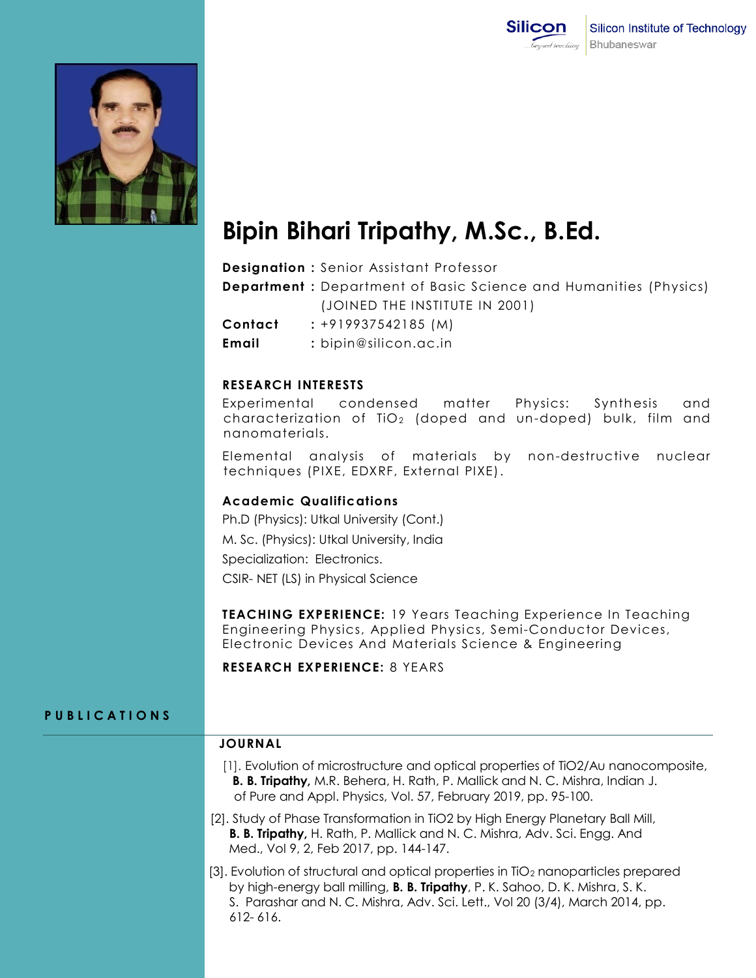



# **Bipin Bihari Tripathy, M.Sc., B.Ed.**

**Designation :** Senior Assistant Professor

**Department :** Department of Basic Science and Humanities (Physics) (JOINED THE INSTITUTE IN 2001)

**Contact :** +919937542185 (M)

**Email :** bipin@silicon.ac.in

#### **RESEARCH INTERESTS**

Experimental condensed matter Physics: Synthesis and characterization of  $TiO<sub>2</sub>$  (doped and un-doped) bulk, film and nanomaterials.

Elemental analysis of materials by non-destructive nuclear techniques (PIXE, EDXRF, External PIXE).

### **Academic Qualifications**

Ph.D (Physics): Utkal University (Cont.) M. Sc. (Physics): Utkal University, India Specialization: Electronics. CSIR- NET (LS) in Physical Science

**TEACHING EXPERIENCE:** 19 Years Teaching Experience In Teaching Engineering Physics, Applied Physics, Semi-Conductor Devices, Electronic Devices And Materials Science & Engineering

**RESEARCH EXPERIENCE:** 8 YEARS

## **P U B L I C A T I O N S**

## **JOURNAL**

- [1]. Evolution of microstructure and optical properties of TiO2/Au nanocomposite, **B. B. Tripathy,** M.R. Behera, H. Rath, P. Mallick and N. C. Mishra, Indian J. of Pure and Appl. Physics, Vol. 57, February 2019, pp. 95-100.
- [2]. Study of Phase Transformation in TiO2 by High Energy Planetary Ball Mill,  **B. B. Tripathy,** H. Rath, P. Mallick and N. C. Mishra, Adv. Sci. Engg. And Med., Vol 9, 2, Feb 2017, pp. 144-147.
- [3]. Evolution of structural and optical properties in TiO<sup>2</sup> nanoparticles prepared by high-energy ball milling, **B. B. Tripathy**, P. K. Sahoo, D. K. Mishra, S. K. S. Parashar and N. C. Mishra, Adv. Sci. Lett., Vol 20 (3/4), March 2014, pp. 612- 616.